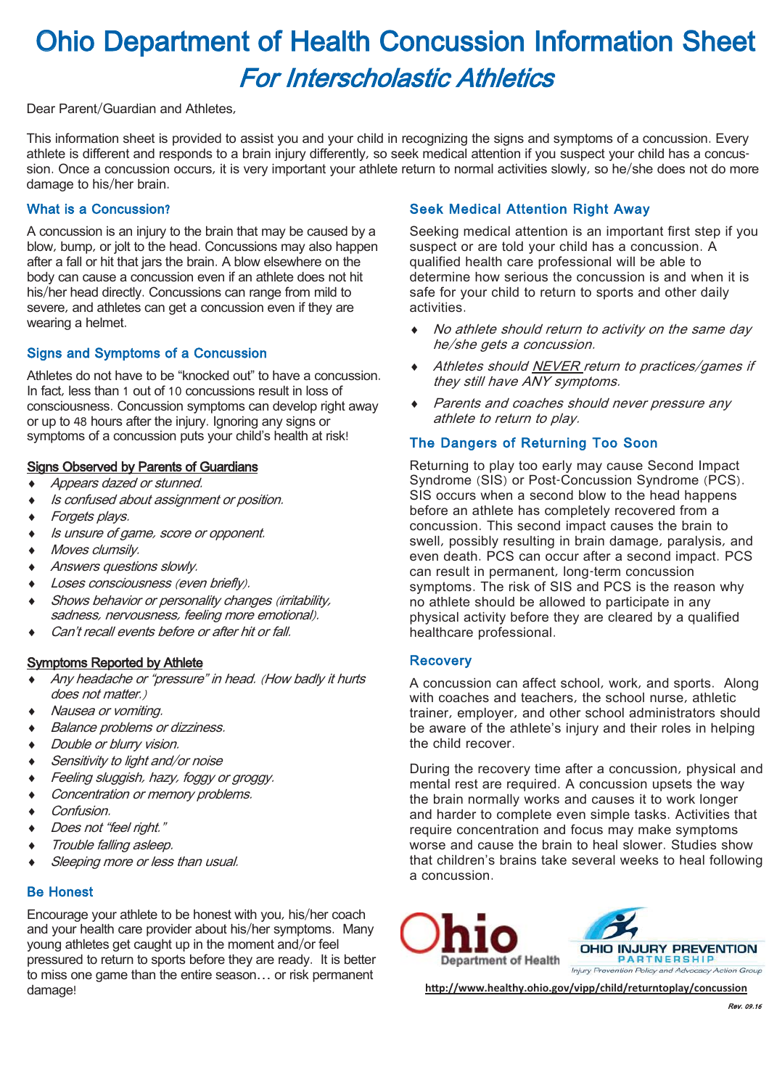# Ohio Department of Health Concussion Information Sheet For Interscholastic Athletics

Dear Parent/Guardian and Athletes,

This information sheet is provided to assist you and your child in recognizing the signs and symptoms of a concussion. Every athlete is different and responds to a brain injury differently, so seek medical attention if you suspect your child has a concussion. Once a concussion occurs, it is very important your athlete return to normal activities slowly, so he/she does not do more damage to his/her brain.

# What is a Concussion?

A concussion is an injury to the brain that may be caused by a blow, bump, or jolt to the head. Concussions may also happen after a fall or hit that jars the brain. A blow elsewhere on the body can cause a concussion even if an athlete does not hit his/her head directly. Concussions can range from mild to severe, and athletes can get a concussion even if they are wearing a helmet.

# Signs and Symptoms of a Concussion

Athletes do not have to be "knocked out" to have a concussion. In fact, less than 1 out of 10 concussions result in loss of consciousness. Concussion symptoms can develop right away or up to 48 hours after the injury. Ignoring any signs or symptoms of a concussion puts your child's health at risk!

### Signs Observed by Parents of Guardians

- Appears dazed or stunned.
- Is confused about assignment or position.
- Forgets plays.
- Is unsure of game, score or opponent.
- Moves clumsily.
- Answers questions slowly.
- Loses consciousness (even briefly).
- Shows behavior or personality changes (irritability, sadness, nervousness, feeling more emotional).
- Can't recall events before or after hit or fall.

#### Symptoms Reported by Athlete

- Any headache or "pressure" in head. (How badly it hurts does not matter.)
- Nausea or vomiting.
- Balance problems or dizziness.
- Double or blurry vision.
- Sensitivity to light and/or noise
- Feeling sluggish, hazy, foggy or groggy.
- Concentration or memory problems.
- Confusion.
- Does not "feel right."
- Trouble falling asleep.
- Sleeping more or less than usual.

### Be Honest

Encourage your athlete to be honest with you, his/her coach and your health care provider about his/her symptoms. Many young athletes get caught up in the moment and/or feel pressured to return to sports before they are ready. It is better to miss one game than the entire season… or risk permanent damage!

# Seek Medical Attention Right Away

Seeking medical attention is an important first step if you suspect or are told your child has a concussion. A qualified health care professional will be able to determine how serious the concussion is and when it is safe for your child to return to sports and other daily activities.

- No athlete should return to activity on the same day he/she gets a concussion.
- Athletes should NEVER return to practices/games if they still have ANY symptoms.
- Parents and coaches should never pressure any athlete to return to play.

### The Dangers of Returning Too Soon

Returning to play too early may cause Second Impact Syndrome (SIS) or Post-Concussion Syndrome (PCS). SIS occurs when a second blow to the head happens before an athlete has completely recovered from a concussion. This second impact causes the brain to swell, possibly resulting in brain damage, paralysis, and even death. PCS can occur after a second impact. PCS can result in permanent, long-term concussion symptoms. The risk of SIS and PCS is the reason why no athlete should be allowed to participate in any physical activity before they are cleared by a qualified healthcare professional.

#### **Recovery**

A concussion can affect school, work, and sports. Along with coaches and teachers, the school nurse, athletic trainer, employer, and other school administrators should be aware of the athlete's injury and their roles in helping the child recover.

During the recovery time after a concussion, physical and mental rest are required. A concussion upsets the way the brain normally works and causes it to work longer and harder to complete even simple tasks. Activities that require concentration and focus may make symptoms worse and cause the brain to heal slower. Studies show that children's brains take several weeks to heal following a concussion.



**hƩp://www.healthy.ohio.gov/vipp/child/returntoplay/concussion**